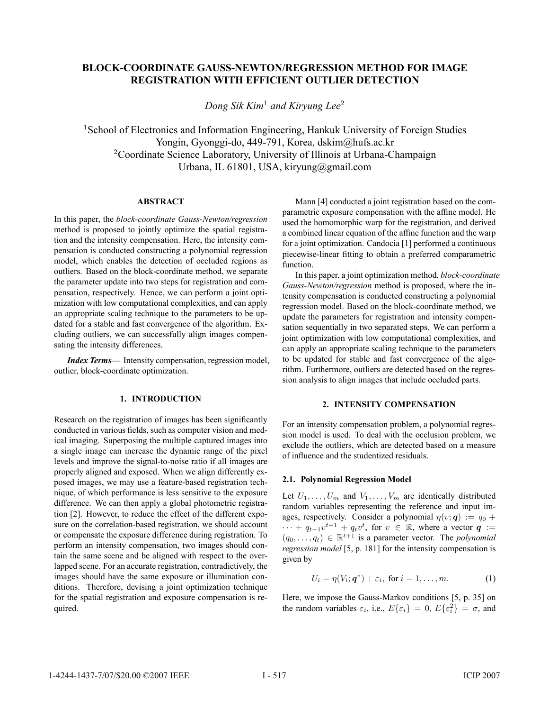# **BLOCK-COORDINATE GAUSS-NEWTON/REGRESSION METHOD FOR IMAGE REGISTRATION WITH EFFICIENT OUTLIER DETECTION**

*Dong Sik Kim*<sup>1</sup> *and Kiryung Lee*<sup>2</sup>

<sup>1</sup>School of Electronics and Information Engineering, Hankuk University of Foreign Studies Yongin, Gyonggi-do, 449-791, Korea, dskim@hufs.ac.kr <sup>2</sup>Coordinate Science Laboratory, University of Illinois at Urbana-Champaign Urbana, IL 61801, USA, kiryung@gmail.com

# **ABSTRACT**

In this paper, the *block-coordinate Gauss-Newton/regression* method is proposed to jointly optimize the spatial registration and the intensity compensation. Here, the intensity compensation is conducted constructing a polynomial regression model, which enables the detection of occluded regions as outliers. Based on the block-coordinate method, we separate the parameter update into two steps for registration and compensation, respectively. Hence, we can perform a joint optimization with low computational complexities, and can apply an appropriate scaling technique to the parameters to be updated for a stable and fast convergence of the algorithm. Excluding outliers, we can successfully align images compensating the intensity differences.

*Index Terms***—** Intensity compensation, regression model, outlier, block-coordinate optimization.

# **1. INTRODUCTION**

Research on the registration of images has been significantly conducted in various fields, such as computer vision and medical imaging. Superposing the multiple captured images into a single image can increase the dynamic range of the pixel levels and improve the signal-to-noise ratio if all images are properly aligned and exposed. When we align differently exposed images, we may use a feature-based registration technique, of which performance is less sensitive to the exposure difference. We can then apply a global photometric registration [2]. However, to reduce the effect of the different exposure on the correlation-based registration, we should account or compensate the exposure difference during registration. To perform an intensity compensation, two images should contain the same scene and be aligned with respect to the overlapped scene. For an accurate registration, contradictively, the images should have the same exposure or illumination conditions. Therefore, devising a joint optimization technique for the spatial registration and exposure compensation is required.

Mann [4] conducted a joint registration based on the comparametric exposure compensation with the affine model. He used the homomorphic warp for the registration, and derived a combined linear equation of the affine function and the warp for a joint optimization. Candocia [1] performed a continuous piecewise-linear fitting to obtain a preferred comparametric function.

In this paper, a joint optimization method, *block-coordinate Gauss-Newton/regression* method is proposed, where the intensity compensation is conducted constructing a polynomial regression model. Based on the block-coordinate method, we update the parameters for registration and intensity compensation sequentially in two separated steps. We can perform a joint optimization with low computational complexities, and can apply an appropriate scaling technique to the parameters to be updated for stable and fast convergence of the algorithm. Furthermore, outliers are detected based on the regression analysis to align images that include occluded parts.

# **2. INTENSITY COMPENSATION**

For an intensity compensation problem, a polynomial regression model is used. To deal with the occlusion problem, we exclude the outliers, which are detected based on a measure of influence and the studentized residuals.

# **2.1. Polynomial Regression Model**

Let  $U_1, \ldots, U_m$  and  $V_1, \ldots, V_m$  are identically distributed random variables representing the reference and input images, respectively. Consider a polynomial  $\eta(v; \mathbf{q}) := q_0 +$  $\cdots + q_{t-1}v^{t-1} + q_tv^t$ , for  $v \in \mathbb{R}$ , where a vector  $q :=$ <br>  $(a_0, a_1) \in \mathbb{R}^{t+1}$  is a parameter vector. The *polynomial*  $(q_0, \ldots, q_t) \in \mathbb{R}^{t+1}$  is a parameter vector. The *polynomial regression model* [5, p. 181] for the intensity compensation is given by

$$
U_i = \eta(V_i; \mathbf{q}^*) + \varepsilon_i, \text{ for } i = 1, \dots, m.
$$
 (1)

Here, we impose the Gauss-Markov conditions [5, p. 35] on the random variables  $\varepsilon_i$ , i.e.,  $E\{\varepsilon_i\} = 0$ ,  $E\{\varepsilon_i^2\} = \sigma$ , and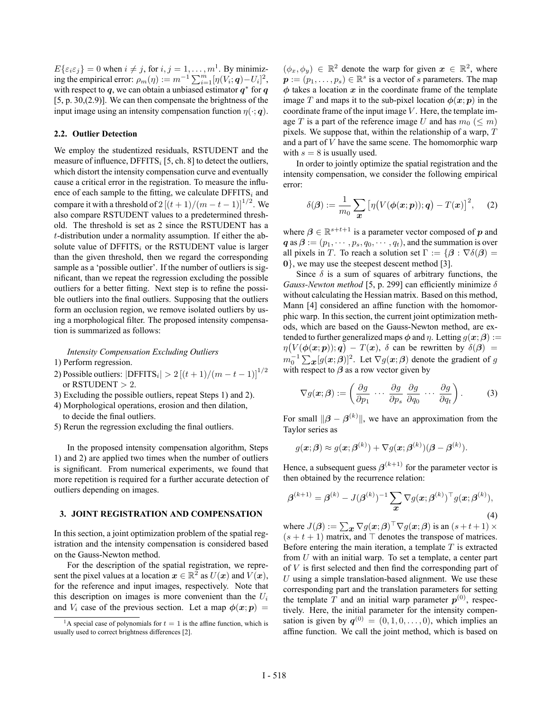$E\{\varepsilon_i\varepsilon_j\} = 0$  when  $i \neq j$ , for  $i, j = 1, \ldots, m^1$ . By minimizing the empirical error:  $\rho_m(\eta) := m^{-1} \sum_{i=1}^m [\eta(V_i; \mathbf{q}) - U_i]^2$ ,<br>with respect to  $\mathbf{q}$ , we can obtain a unbiased estimator  $\mathbf{q}^*$  for  $\mathbf{q}$ with respect to *q*, we can obtain a unbiased estimator *q*<sup>∗</sup> for *q* [5, p. 30,(2.9)]. We can then compensate the brightness of the input image using an intensity compensation function  $\eta(\cdot; \mathbf{q})$ .

# **2.2. Outlier Detection**

We employ the studentized residuals, RSTUDENT and the measure of influence,  $DFFITS_i [5, ch. 8]$  to detect the outliers, which distort the intensity compensation curve and eventually cause a critical error in the registration. To measure the influence of each sample to the fitting, we calculate  $DFFITS_i$  and compare it with a threshold of  $2[(t+1)/(m-t-1)]^{1/2}$ . We<br>also compare RSTI IDENT values to a predetermined threshalso compare RSTUDENT values to a predetermined threshold. The threshold is set as 2 since the RSTUDENT has a t-distribution under a normality assumption. If either the absolute value of  $DFFITS_i$  or the RSTUDENT value is larger than the given threshold, then we regard the corresponding sample as a 'possible outlier'. If the number of outliers is significant, than we repeat the regression excluding the possible outliers for a better fitting. Next step is to refine the possible outliers into the final outliers. Supposing that the outliers form an occlusion region, we remove isolated outliers by using a morphological filter. The proposed intensity compensation is summarized as follows:

*Intensity Compensation Excluding Outliers*

- 1) Perform regression.
- 2) Possible outliers:  $|DFFITS_i| > 2 [(t + 1)/(m t 1)]^{1/2}$ or RSTUDENT  $> 2$ .
- 3) Excluding the possible outliers, repeat Steps 1) and 2).
- 4) Morphological operations, erosion and then dilation, to decide the final outliers.
- 5) Rerun the regression excluding the final outliers.

In the proposed intensity compensation algorithm, Steps 1) and 2) are applied two times when the number of outliers is significant. From numerical experiments, we found that more repetition is required for a further accurate detection of outliers depending on images.

### **3. JOINT REGISTRATION AND COMPENSATION**

In this section, a joint optimization problem of the spatial registration and the intensity compensation is considered based on the Gauss-Newton method.

For the description of the spatial registration, we represent the pixel values at a location  $x \in \mathbb{R}^2$  as  $U(x)$  and  $V(x)$ , for the reference and input images, respectively. Note that this description on images is more convenient than the  $U_i$ and  $V_i$  case of the previous section. Let a map  $\phi(x; p)$  =

 $(\phi_x, \phi_y) \in \mathbb{R}^2$  denote the warp for given  $x \in \mathbb{R}^2$ , where  $p := (p_1, \ldots, p_s) \in \mathbb{R}^s$  is a vector of s parameters. The map  $\phi$  takes a location  $x$  in the coordinate frame of the template image T and maps it to the sub-pixel location  $\phi(x; p)$  in the coordinate frame of the input image  $V$ . Here, the template image T is a part of the reference image U and has  $m_0 \leq m$ ) pixels. We suppose that, within the relationship of a warp,  $T$ and a part of  $V$  have the same scene. The homomorphic warp with  $s = 8$  is usually used.

In order to jointly optimize the spatial registration and the intensity compensation, we consider the following empirical error:

$$
\delta(\boldsymbol{\beta}) := \frac{1}{m_0} \sum_{\boldsymbol{x}} \left[ \eta \big( V(\boldsymbol{\phi}(\boldsymbol{x};\boldsymbol{p})) ; \boldsymbol{q} \big) - T(\boldsymbol{x}) \right]^2, \quad (2)
$$

where  $\beta \in \mathbb{R}^{s+t+1}$  is a parameter vector composed of *p* and  $q$  as  $\beta := (p_1, \dots, p_s, q_0, \dots, q_t)$ , and the summation is over all pixels in T. To reach a solution set  $\Gamma := \{ \beta : \nabla \delta(\beta) =$ **0**}, we may use the steepest descent method [3].

Since  $\delta$  is a sum of squares of arbitrary functions, the *Gauss-Newton method* [5, p. 299] can efficiently minimize  $\delta$ without calculating the Hessian matrix. Based on this method, Mann [4] considered an affine function with the homomorphic warp. In this section, the current joint optimization methods, which are based on the Gauss-Newton method, are extended to further generalized maps  $\phi$  and  $\eta$ . Letting  $g(x; \beta)$  :=  $m_0^{-1} \sum_{\mathbf{x}} [g(\mathbf{x}; \beta)]^2$ . Let  $\nabla g(\mathbf{x}; \beta)$  denote the gradient of g<br>with respect to *A* as a row vector given by  $V(\phi(\mathbf{x}; \mathbf{p}))$ ;  $\mathbf{q}) - T(\mathbf{x})$ ,  $\delta$  can be rewritten by  $\delta(\mathbf{\beta}) =$ with respect to  $\beta$  as a row vector given by

$$
\nabla g(\boldsymbol{x};\boldsymbol{\beta}) := \left(\frac{\partial g}{\partial p_1} \cdots \frac{\partial g}{\partial p_s} \frac{\partial g}{\partial q_0} \cdots \frac{\partial g}{\partial q_t}\right).
$$
 (3)

For small  $\|\boldsymbol{\beta} - \boldsymbol{\beta}^{(k)}\|$ , we have an approximation from the Taylor series as

$$
g(\boldsymbol{x};\boldsymbol{\beta}) \approx g(\boldsymbol{x};\boldsymbol{\beta}^{(k)}) + \nabla g(\boldsymbol{x};\boldsymbol{\beta}^{(k)})(\boldsymbol{\beta} - \boldsymbol{\beta}^{(k)}).
$$

Hence, a subsequent guess  $\beta^{(k+1)}$  for the parameter vector is then obtained by the recurrence relation:

$$
\boldsymbol{\beta}^{(k+1)} = \boldsymbol{\beta}^{(k)} - J(\boldsymbol{\beta}^{(k)})^{-1} \sum_{\boldsymbol{x}} \nabla g(\boldsymbol{x}; \boldsymbol{\beta}^{(k)})^{\top} g(\boldsymbol{x}; \boldsymbol{\beta}^{(k)}),
$$
\n(4)

where  $J(\beta) := \sum_{\mathbf{x}} \nabla g(\mathbf{x}; \beta)^\top \nabla g(\mathbf{x}; \beta)$  is an  $(s + t + 1) \times$  $(s + t + 1)$  matrix, and  $\top$  denotes the transpose of matrices.<br>Before entering the main iteration, a template  $T$  is extracted Before entering the main iteration, a template  $T$  is extracted from  $U$  with an initial warp. To set a template, a center part of V is first selected and then find the corresponding part of  $U$  using a simple translation-based alignment. We use these corresponding part and the translation parameters for setting the template T and an initial warp parameter  $p^{(0)}$ , respectively. Here, the initial parameter for the intensity compensation is given by  $q^{(0)} = (0, 1, 0, \ldots, 0)$ , which implies an affine function. We call the joint method, which is based on

<sup>&</sup>lt;sup>1</sup>A special case of polynomials for  $t = 1$  is the affine function, which is usually used to correct brightness differences [2].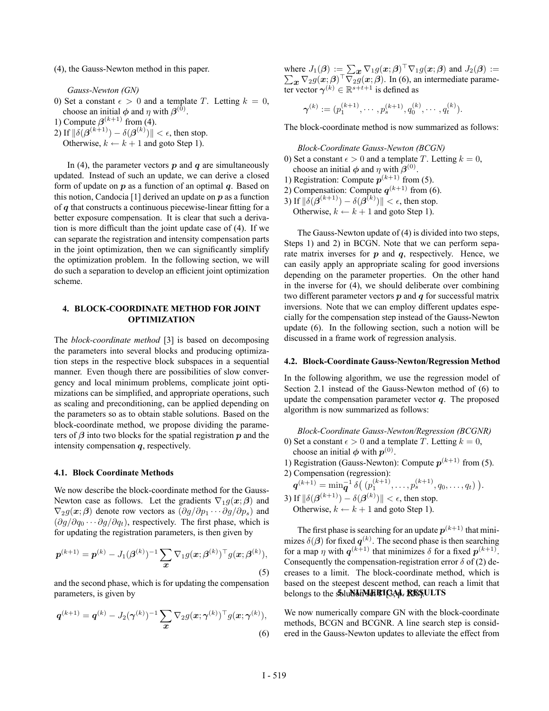(4), the Gauss-Newton method in this paper.

*Gauss-Newton (GN)*

0) Set a constant  $\epsilon > 0$  and a template T. Letting  $k = 0$ , choose an initial  $\phi$  and  $\eta$  with  $\beta^{(0)}$ .

1) Compute  $\boldsymbol{\beta}^{(k+1)}$  from (4).

2) If  $\|\delta(\boldsymbol{\beta}^{(k+1)}) - \delta(\boldsymbol{\beta}^{(k)})\| < \epsilon$ , then stop.<br>Otherwise  $k \leftarrow k+1$  and goto Step 1) Otherwise,  $k \leftarrow k + 1$  and goto Step 1).

In (4), the parameter vectors  $p$  and  $q$  are simultaneously updated. Instead of such an update, we can derive a closed form of update on *p* as a function of an optimal *q*. Based on this notion, Candocia [1] derived an update on *p* as a function of *q* that constructs a continuous piecewise-linear fitting for a better exposure compensation. It is clear that such a derivation is more difficult than the joint update case of (4). If we can separate the registration and intensity compensation parts in the joint optimization, then we can significantly simplify the optimization problem. In the following section, we will do such a separation to develop an efficient joint optimization scheme.

# **4. BLOCK-COORDINATE METHOD FOR JOINT OPTIMIZATION**

The *block-coordinate method* [3] is based on decomposing the parameters into several blocks and producing optimization steps in the respective block subspaces in a sequential manner. Even though there are possibilities of slow convergency and local minimum problems, complicate joint optimizations can be simplified, and appropriate operations, such as scaling and preconditioning, can be applied depending on the parameters so as to obtain stable solutions. Based on the block-coordinate method, we propose dividing the parameters of *β* into two blocks for the spatial registration *p* and the intensity compensation *q*, respectively.

#### **4.1. Block Coordinate Methods**

We now describe the block-coordinate method for the Gauss-Newton case as follows. Let the gradients  $\nabla_1 g(x;\beta)$  and  $\nabla_2 g(x;\beta)$  denote row vectors as  $(\partial g/\partial p_1 \cdots \partial g/\partial p_s)$  and  $(\partial g/\partial q_0 \cdots \partial g/\partial q_t)$ , respectively. The first phase, which is for updating the registration parameters, is then given by

$$
\boldsymbol{p}^{(k+1)} = \boldsymbol{p}^{(k)} - J_1(\boldsymbol{\beta}^{(k)})^{-1} \sum_{\boldsymbol{x}} \nabla_1 g(\boldsymbol{x}; \boldsymbol{\beta}^{(k)})^{\top} g(\boldsymbol{x}; \boldsymbol{\beta}^{(k)}),
$$
\n(5)

and the second phase, which is for updating the compensation parameters, is given by

$$
\boldsymbol{q}^{(k+1)} = \boldsymbol{q}^{(k)} - J_2(\boldsymbol{\gamma}^{(k)})^{-1} \sum_{\boldsymbol{x}} \nabla_2 g(\boldsymbol{x}; \boldsymbol{\gamma}^{(k)})^{\top} g(\boldsymbol{x}; \boldsymbol{\gamma}^{(k)}),
$$
\n(6)

where  $J_1(\beta) := \sum_{\mathbf{x}} \nabla_1 g(\mathbf{x}; \beta)^\top \nabla_1 g(\mathbf{x}; \beta)$  and  $J_2(\beta) := \sum_{\mathbf{x}} \nabla_2 g(\mathbf{x}; \beta)^\top \nabla_2 g(\mathbf{x}; \beta)$ . In (6), an intermediate parame- $\sum_{\mathbf{x}} \nabla_2 g(\mathbf{x}; \boldsymbol{\beta})^\top \nabla_2 g(\mathbf{x}; \boldsymbol{\beta})$ . In (6), an intermediate parameter vector *γ*<sup>(k)</sup> ∈ R<sup>s+t+1</sup> is defined as

$$
\boldsymbol{\gamma}^{(k)} := (p_1^{(k+1)}, \cdots, p_s^{(k+1)}, q_0^{(k)}, \cdots, q_t^{(k)}).
$$

The block-coordinate method is now summarized as follows:

*Block-Coordinate Gauss-Newton (BCGN)*

- 0) Set a constant  $\epsilon > 0$  and a template T. Letting  $k = 0$ , choose an initial  $\phi$  and  $\eta$  with  $\beta^{(0)}$ .
- 1) Registration: Compute  $p^{(k+1)}$  from (5).
- 2) Compensation: Compute  $q^{(k+1)}$  from (6).

3) If  $\|\delta(\boldsymbol{\beta}^{(k+1)}) - \delta(\boldsymbol{\beta}^{(k)})\| < \epsilon$ , then stop.<br>Otherwise  $k \leftarrow k+1$  and goto Step 1)

Otherwise,  $k \leftarrow k + 1$  and goto Step 1).

The Gauss-Newton update of (4) is divided into two steps, Steps 1) and 2) in BCGN. Note that we can perform separate matrix inverses for *p* and *q*, respectively. Hence, we can easily apply an appropriate scaling for good inversions depending on the parameter properties. On the other hand in the inverse for (4), we should deliberate over combining two different parameter vectors *p* and *q* for successful matrix inversions. Note that we can employ different updates especially for the compensation step instead of the Gauss-Newton update (6). In the following section, such a notion will be discussed in a frame work of regression analysis.

#### **4.2. Block-Coordinate Gauss-Newton/Regression Method**

In the following algorithm, we use the regression model of Section 2.1 instead of the Gauss-Newton method of (6) to update the compensation parameter vector *q*. The proposed algorithm is now summarized as follows:

*Block-Coordinate Gauss-Newton/Regression (BCGNR)* 0) Set a constant  $\epsilon > 0$  and a template T. Letting  $k = 0$ ,

- choose an initial  $\phi$  with  $p^{(0)}$ .
- 1) Registration (Gauss-Newton): Compute  $p^{(k+1)}$  from (5).

2) Compensation (regression):  $q^{(k+1)} = \min_{q}^{-1} \delta\left(\left(p_1^{(k+1)}, \ldots, p_s^{(k+1)}, q_0, \ldots, q_t\right)\right).$ 

3) If  $\|\delta(\boldsymbol{\beta}^{(k+1)}) - \delta(\boldsymbol{\beta}^{(k)})\| < \epsilon$ , then stop.<br>Otherwise  $k \leftarrow k+1$  and goto Step 1) Otherwise,  $k \leftarrow k + 1$  and goto Step 1).

The first phase is searching for an update  $p^{(k+1)}$  that minimizes  $\delta(\beta)$  for fixed  $q^{(k)}$ . The second phase is then searching<br>for a man *n* with  $q^{(k+1)}$  that minimizes  $\delta$  for a fixed  $p^{(k+1)}$ for a map  $\eta$  with  $q^{(k+1)}$  that minimizes  $\delta$  for a fixed  $p^{(k+1)}$ . Consequently the compensation-registration error  $\delta$  of (2) decreases to a limit. The block-coordinate method, which is based on the steepest descent method, can reach a limit that belongs to the **SoluNcHMERIGAL RESULTS** 

We now numerically compare GN with the block-coordinate methods, BCGN and BCGNR. A line search step is considered in the Gauss-Newton updates to alleviate the effect from